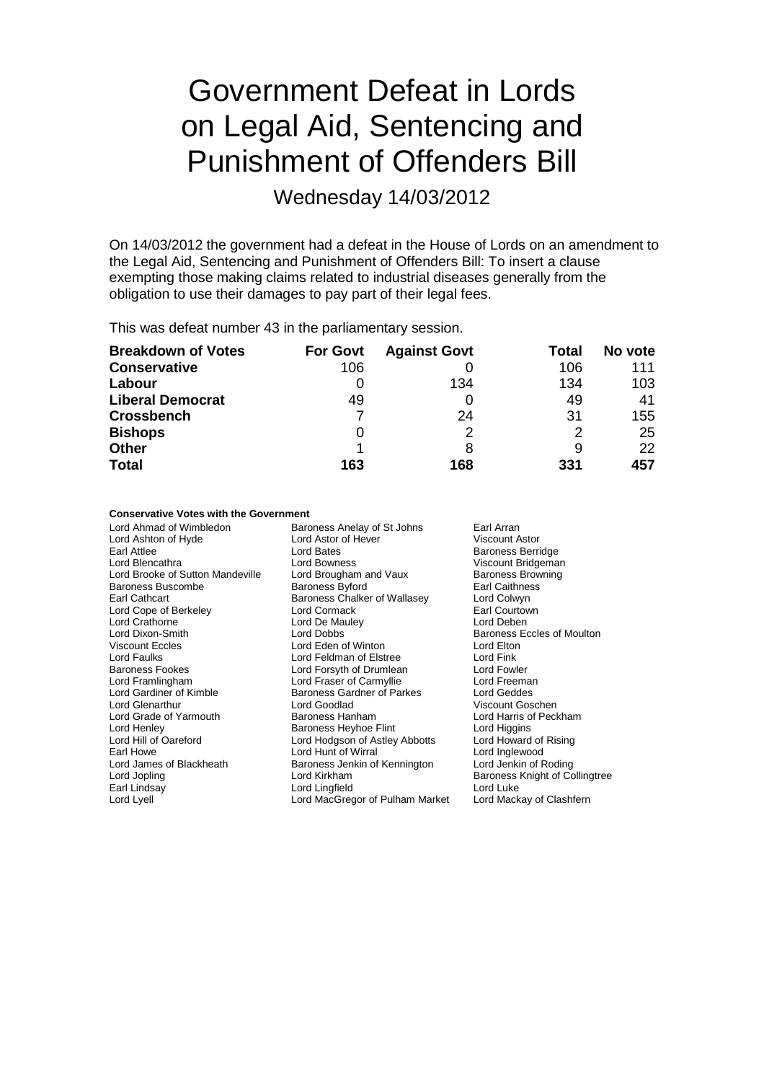# Government Defeat in Lords on Legal Aid, Sentencing and Punishment of Offenders Bill

Wednesday 14/03/2012

On 14/03/2012 the government had a defeat in the House of Lords on an amendment to the Legal Aid, Sentencing and Punishment of Offenders Bill: To insert a clause exempting those making claims related to industrial diseases generally from the obligation to use their damages to pay part of their legal fees.

This was defeat number 43 in the parliamentary session.

| <b>Breakdown of Votes</b> | <b>For Govt</b> | <b>Against Govt</b> | Total | No vote |
|---------------------------|-----------------|---------------------|-------|---------|
| <b>Conservative</b>       | 106             |                     | 106   | 111     |
| Labour                    | O               | 134                 | 134   | 103     |
| <b>Liberal Democrat</b>   | 49              |                     | 49    | 41      |
| <b>Crossbench</b>         |                 | 24                  | 31    | 155     |
| <b>Bishops</b>            | O               |                     | 2     | 25      |
| <b>Other</b>              |                 | 8                   | 9     | 22      |
| <b>Total</b>              | 163             | 168                 | 331   | 457     |

### **Conservative Votes with the Government**

| Lord Ahmad of Wimbledon          | Baroness Anelay of St Johns<br>Earl Arran |                                |  |
|----------------------------------|-------------------------------------------|--------------------------------|--|
| Lord Ashton of Hyde              | Lord Astor of Hever                       | <b>Viscount Astor</b>          |  |
| Earl Attlee                      | Lord Bates                                | <b>Baroness Berridge</b>       |  |
| Lord Blencathra                  | Lord Bowness                              | Viscount Bridgeman             |  |
| Lord Brooke of Sutton Mandeville | Lord Brougham and Vaux                    | <b>Baroness Browning</b>       |  |
| <b>Baroness Buscombe</b>         | <b>Baroness Byford</b>                    | Earl Caithness                 |  |
| Earl Cathcart                    | Baroness Chalker of Wallasey              | Lord Colwyn                    |  |
| Lord Cope of Berkeley            | Lord Cormack                              | Earl Courtown                  |  |
| Lord Crathorne                   | Lord De Mauley                            | Lord Deben                     |  |
| Lord Dixon-Smith                 | Lord Dobbs                                | Baroness Eccles of Moulton     |  |
| <b>Viscount Eccles</b>           | Lord Eden of Winton                       | Lord Elton                     |  |
| Lord Faulks                      | Lord Feldman of Elstree                   | Lord Fink                      |  |
| <b>Baroness Fookes</b>           | Lord Forsyth of Drumlean                  | Lord Fowler                    |  |
| Lord Framlingham                 | Lord Fraser of Carmyllie                  | Lord Freeman                   |  |
| Lord Gardiner of Kimble          | Baroness Gardner of Parkes                | Lord Geddes                    |  |
| Lord Glenarthur                  | Lord Goodlad                              | Viscount Goschen               |  |
| Lord Grade of Yarmouth           | Baroness Hanham                           | Lord Harris of Peckham         |  |
| Lord Henley                      | Baroness Heyhoe Flint                     | Lord Higgins                   |  |
| Lord Hill of Oareford            | Lord Hodgson of Astley Abbotts            | Lord Howard of Rising          |  |
| Earl Howe                        | Lord Hunt of Wirral                       | Lord Inglewood                 |  |
| Lord James of Blackheath         | Baroness Jenkin of Kennington             | Lord Jenkin of Roding          |  |
| Lord Jopling                     | Lord Kirkham                              | Baroness Knight of Collingtree |  |
| Earl Lindsay                     | Lord Lingfield                            | Lord Luke                      |  |
| Lord Lyell                       | Lord MacGregor of Pulham Market           | Lord Mackay of Clashfern       |  |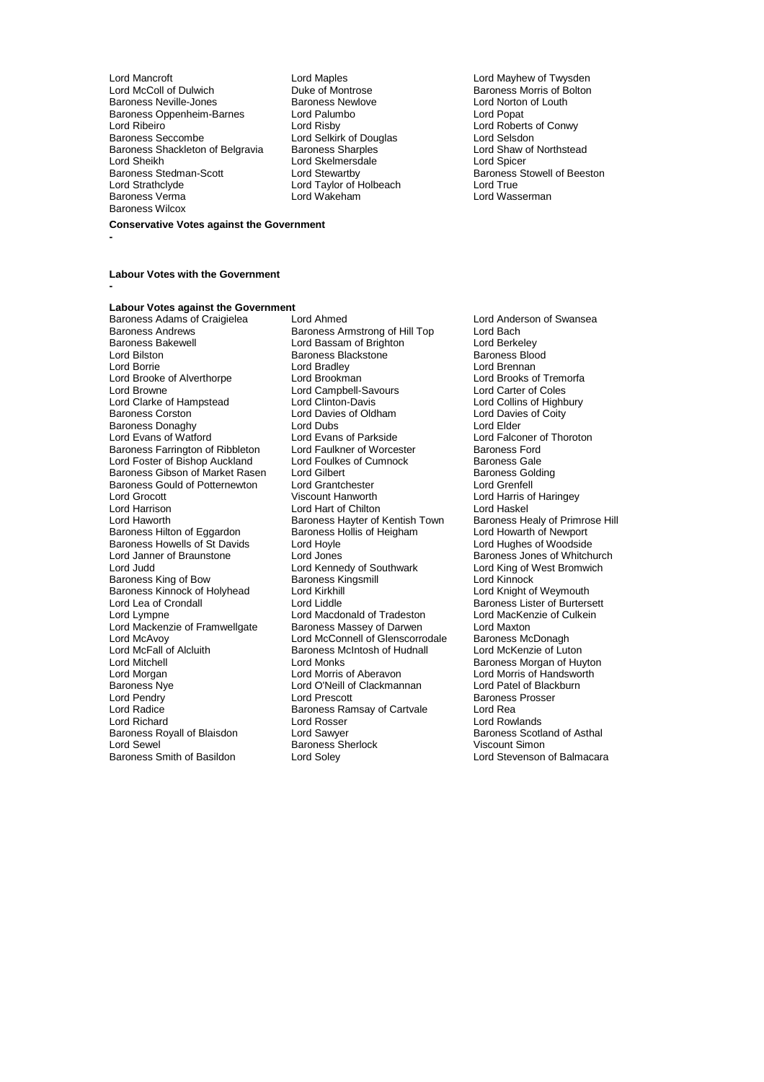Lord Mancroft **Lord Maples** Lord Maples **Lord Maples** Lord Maples **Lord Maples** Lord Maples Lord Maples Lord Maples Lord Maples Lord Maples Lord Maples Lord Maples Lord Maples Lord Maples Lord Maples Lord Maples Lord Maple Baroness Neville-Jones **Baroness Newlove** Lord Norton Correct Lord Norton Correct Lord Norton **Baroness Operation Correct Access** Lord Poper Correct Lord Poper Baroness Oppenheim-Barnes Lord Palum<br>Lord Ribeiro Lord Risby Lord Ribeiro Lord Risby Lord Risby Lord Roberts of Conwy<br>Baroness Seccombe Lord Selkirk of Douglas Lord Selsdon Baroness Shackleton of Belgravia Baroness Sharples **Lord Shaw Cord Shaw Cord Shaw Cord Shaw** Cord Shaw Cord Shaw of Northstead Cord Shaw of Northstead Cord Shaw of Northstead Cord Shaw Cord Shaw Cord Shaw Cord Shaw Cord Sh Lord Sheikh Lord Skelmersdale<br>
Baroness Stedman-Scott Lord Stewartby Baroness Stedman-Scott **Lord Stewartby** Baroness Stowell of Beeston<br>
Lord Strathclyde **Baroness** Lord Taylor of Holbeach **Baroness** Stowell of Beeston Lord Strathclyde Lord Taylor of Holbeach<br>Baroness Verma Lord Taylor of Holbeach<br>Lord Wakeham Baroness Wilcox

**Conservative Votes against the Government**

**-**

**Labour Votes with the Government**

**-**

**Labour Votes against the Government**<br>Baroness Adams of Craigielea **Lord Ahmed** Baroness Adams of Craigielea Lord Ahmed Lord Anderson of Swansea Baroness Andrews **Baroness Armstrong of Hill Top** Lord Bach<br>Baroness Bakewell **Bach Lord Bassam of Brighton** Lord Berkeley Baroness Bakewell Lord Bassam of Brighton Lord Berkeley Lord Bilston Baroness Blackstone Baroness Blackstone Baroness Blood Bilston<br>Lord Baroness Blackstone Baroness Blackstone Baroness Blood Bilstone Baroness Blood Bilstone Baroness Blackstone Lord Brooke of Alverthorpe **Lord Brookman** Lord Brooks of Tremorfange Cord Brooks of Tremorfange Cord Brooks of Trem<br>Cord Browne Lord Campbell-Savours Lord Carter of Coles Lord Clarke of Hampstead Lord Clinton-Davis Lord Collins of Highbury Cord Collins of Highbury Cord Collins Corston Lord Davies of Coity Baroness Donaghy **Let all Lord Dubs**<br> **Lord Evans of Watford Lord Evans of Parkside** Baroness Farrington of Ribbleton Lord Faulkner of Worcester Baroness Ford<br>
Lord Foster of Bishop Auckland Lord Foulkes of Cumnock Baroness Gale Lord Foster of Bishop Auckland Lord Foulkes of Cumnock Baroness Gale<br>Baroness Gibson of Market Rasen Lord Gilbert Cumnock Baroness Golding Baroness Gibson of Market Rasen Lord Gilbert (Baroness Golding Baroness Golding Raroness Golding Baroness Gold<br>Baroness Gould of Potternewton Lord Grantchester (Baroness Cortell) Baroness Gould of Potternewton Lord Grantchester<br>
Lord Grocott Viscount Hanworth Lord Grocott Viscount Hanworth Lord Harris of Haringey Lord Harrison **Lord Hart of Chilton** Lord Haskel Lord Haskel<br>Lord Haworth **Lord Hart of Lord Hart Corporation** Lord Haskel Lord Haworth Lord Haskel Lord Haskel Lord Haskel Baroness Hilton of Eggardon Baroness Hollis of Heigham Lord Howarth of Newport<br>Baroness Howells of St Davids Lord Hoyle Lord Horness Howarth of Newport Baroness Howells of St Davids Lord Hoyle<br>
Lord Janner of Braunstone Lord Jones Lord Janner of Braunstone Lord Jones<br>
Lord Cord Kennedy of Southwark Lord King of West Bromwich<br>
Lord Judd Cord Kennedy of Southwark Lord King of West Bromwich Baroness King of Bow Baroness Kingsmill **Baroness Lord Kinnock**<br>Baroness Kinnock of Holyhead Lord Kirkhill **Baroness Lord Knight of Weymouth** Baroness Kinnock of Holyhead Lord Kirkhill<br>
Lord Lea of Crondall Cord Lord Liddle Lord Lea of Crondall Lord Lord Liddle Lord Liddle Baroness Lister of Burtersett<br>
Lord Macdonald of Tradeston Lord MacKenzie of Culkein Lord Mackenzie of Framwellgate Baroness Massey of Darwen Lord Maxton<br>
Lord McAvoy Cord McConnell of Glenscorrodale Baroness McDonagh Lord McAvoy **Lord McConnell of Glenscorrodale** Baroness McDonagh<br>
Lord McFall of Alcluith **Baroness McIntosh of Hudnall** Lord McKenzie of Luton Lord McFall of Alcluith Baroness McIntosh of Hudnall<br>Lord Mitchell Lord Monks Lord Mitchell **Lord Monks** Lord Monks **Baroness Morgan of Huyton**<br>
Lord Morgan **Lord Morgan Lord Morris of Aberavon** Lord Morris of Handsworth Lord Morgan **Lord Morris of Aberavon** Lord Morris of Handsworth<br>
Baroness Nye **Lord O'Neill of Clackmannan** Lord Patel of Blackburn Baroness Nye Lord O'Neill of Clackmannan<br>
Lord Pendry Lord Prescott Lord Pendry **Communist Communist Communist Communist Communist Communist Communist Communist Communist Communist Prosser**<br>
Baroness Ramsay of Cartvale Lord Rea Lord Radice<br>
Lord Richard<br>
Lord Richard<br>
Lord Rosser Baroness Royall of Blaisdon Lord Sawyer Communication Baroness Scotland Baroness Scotland Baroness Scotland Or<br>Raroness Sherlock Communication Communication of Astronomy Baroness Sherlock Lord Sewel in the Baroness Sherlock<br>Baroness Smith of Basildon Clord Soley

Lord Bradley **Lord Brennan**<br>
Lord Brookman **Lord Brooks** of Tremorfa Lord Campbell-Savours<br>
Lord Clinton-Davis Lord Collins of Highbury Extra Davies of Oldham Lord Davies Communist Cord Davies<br>1991 Lord Davies of Coldham Lord Elder Lord Evans of Parkside<br>
Lord Faulkner of Worcester<br>
Baroness Ford<br>
2011 Baroness Hayter of Kentish Town Baroness Healy of Primro<br>Baroness Hollis of Heigham Lord Howarth of Newport Lord Kennedy of Southwark Lord King of V<br>Baroness Kingsmill Lord Kinnock Lord Macdonald of Tradeston Lord MacKer<br>Baroness Massey of Darwen Lord Maxton Lord Rosser **Lord Rowlands**<br>
Lord Sawyer **Lord Rowland Communist Communist Research Rowland Of Asthal** 

Duke of Montrose **Baroness Morris of Bolton**<br>
Baroness Newlove **Baroness** Lord Norton of Louth Lord Selkirk of Douglas<br>
Baroness Sharples<br>
Lord Shaw of Northstead Lord Wasserman

Lord Stevenson of Balmacara